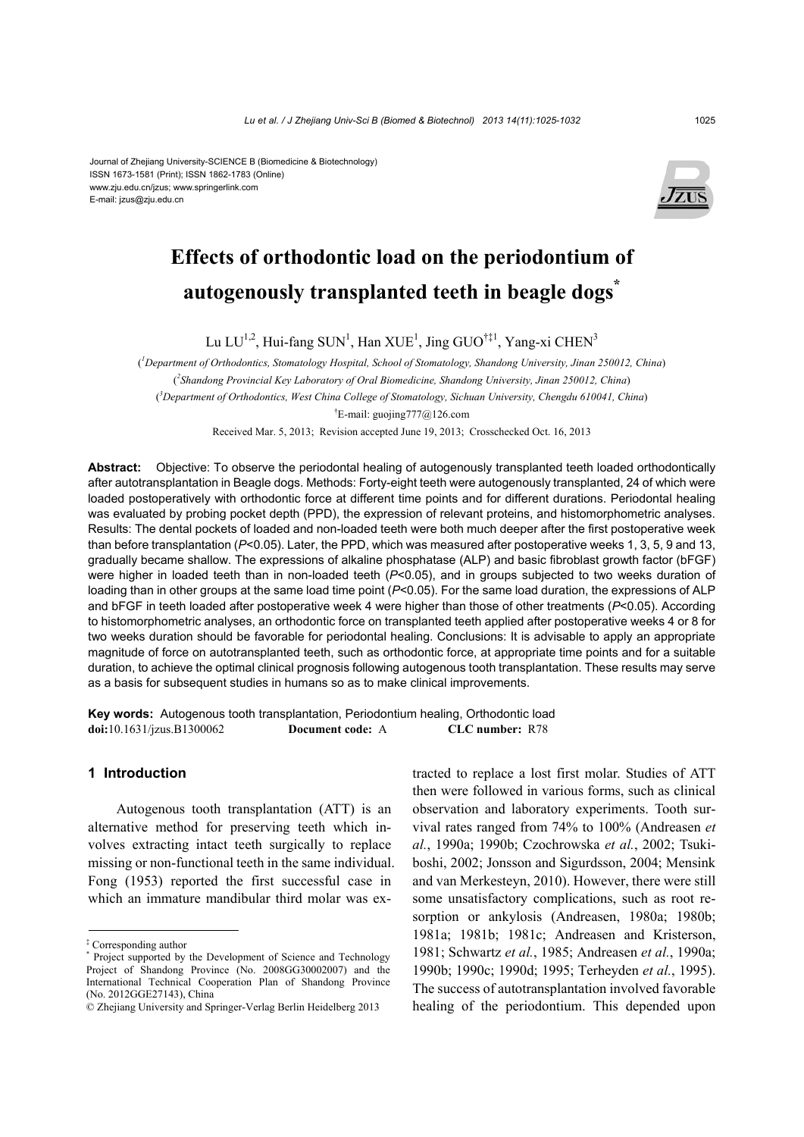Journal of Zhejiang University-SCIENCE B (Biomedicine & Biotechnology) ISSN 1673-1581 (Print); ISSN 1862-1783 (Online) www.zju.edu.cn/jzus; www.springerlink.com E-mail: jzus@zju.edu.cn



# **Effects of orthodontic load on the periodontium of autogenously transplanted teeth in beagle dogs\***

Lu LU<sup>1,2</sup>, Hui-fang SUN<sup>1</sup>, Han XUE<sup>1</sup>, Jing GUO<sup>†‡1</sup>, Yang-xi CHEN<sup>3</sup>

( *1 Department of Orthodontics, Stomatology Hospital, School of Stomatology, Shandong University, Jinan 250012, China*) ( *2 Shandong Provincial Key Laboratory of Oral Biomedicine, Shandong University, Jinan 250012, China*) ( *3 Department of Orthodontics, West China College of Stomatology, Sichuan University, Chengdu 610041, China*) † E-mail: guojing777@126.com

Received Mar. 5, 2013; Revision accepted June 19, 2013; Crosschecked Oct. 16, 2013

**Abstract:** Objective: To observe the periodontal healing of autogenously transplanted teeth loaded orthodontically after autotransplantation in Beagle dogs. Methods: Forty-eight teeth were autogenously transplanted, 24 of which were loaded postoperatively with orthodontic force at different time points and for different durations. Periodontal healing was evaluated by probing pocket depth (PPD), the expression of relevant proteins, and histomorphometric analyses. Results: The dental pockets of loaded and non-loaded teeth were both much deeper after the first postoperative week than before transplantation (*P*<0.05). Later, the PPD, which was measured after postoperative weeks 1, 3, 5, 9 and 13, gradually became shallow. The expressions of alkaline phosphatase (ALP) and basic fibroblast growth factor (bFGF) were higher in loaded teeth than in non-loaded teeth (*P*<0.05), and in groups subjected to two weeks duration of loading than in other groups at the same load time point (*P*<0.05). For the same load duration, the expressions of ALP and bFGF in teeth loaded after postoperative week 4 were higher than those of other treatments (*P*<0.05). According to histomorphometric analyses, an orthodontic force on transplanted teeth applied after postoperative weeks 4 or 8 for two weeks duration should be favorable for periodontal healing. Conclusions: It is advisable to apply an appropriate magnitude of force on autotransplanted teeth, such as orthodontic force, at appropriate time points and for a suitable duration, to achieve the optimal clinical prognosis following autogenous tooth transplantation. These results may serve as a basis for subsequent studies in humans so as to make clinical improvements.

**Key words:** Autogenous tooth transplantation, Periodontium healing, Orthodontic load **doi:**10.1631/jzus.B1300062 **Document code:** A **CLC number:** R78

#### **1 Introduction**

Autogenous tooth transplantation (ATT) is an alternative method for preserving teeth which involves extracting intact teeth surgically to replace missing or non-functional teeth in the same individual. Fong (1953) reported the first successful case in which an immature mandibular third molar was extracted to replace a lost first molar. Studies of ATT then were followed in various forms, such as clinical observation and laboratory experiments. Tooth survival rates ranged from 74% to 100% (Andreasen *et al.*, 1990a; 1990b; Czochrowska *et al.*, 2002; Tsukiboshi, 2002; Jonsson and Sigurdsson, 2004; Mensink and van Merkesteyn, 2010). However, there were still some unsatisfactory complications, such as root resorption or ankylosis (Andreasen, 1980a; 1980b; 1981a; 1981b; 1981c; Andreasen and Kristerson, 1981; Schwartz *et al.*, 1985; Andreasen *et al.*, 1990a; 1990b; 1990c; 1990d; 1995; Terheyden *et al.*, 1995). The success of autotransplantation involved favorable healing of the periodontium. This depended upon

<sup>‡</sup> Corresponding author

<sup>\*</sup> Project supported by the Development of Science and Technology Project of Shandong Province (No. 2008GG30002007) and the International Technical Cooperation Plan of Shandong Province (No. 2012GGE27143), China

<sup>©</sup> Zhejiang University and Springer-Verlag Berlin Heidelberg 2013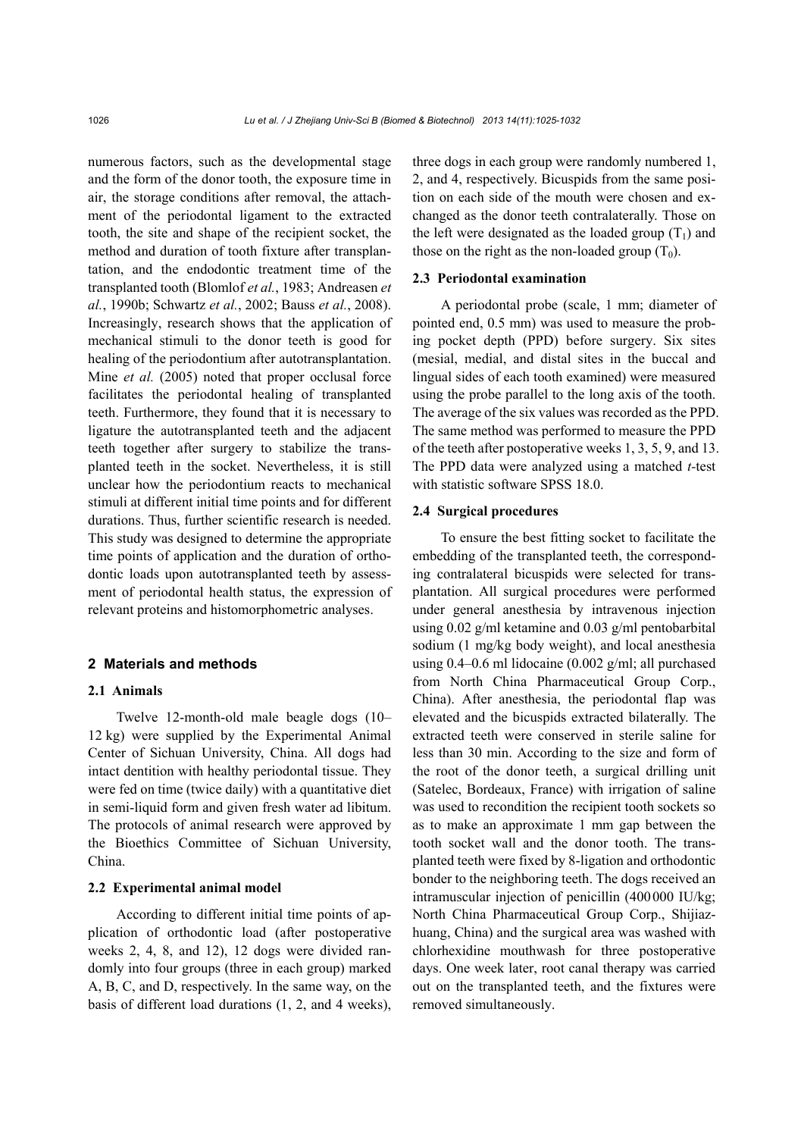numerous factors, such as the developmental stage and the form of the donor tooth, the exposure time in air, the storage conditions after removal, the attachment of the periodontal ligament to the extracted tooth, the site and shape of the recipient socket, the method and duration of tooth fixture after transplantation, and the endodontic treatment time of the transplanted tooth (Blomlof *et al.*, 1983; Andreasen *et al.*, 1990b; Schwartz *et al.*, 2002; Bauss *et al.*, 2008). Increasingly, research shows that the application of mechanical stimuli to the donor teeth is good for healing of the periodontium after autotransplantation. Mine *et al.* (2005) noted that proper occlusal force facilitates the periodontal healing of transplanted teeth. Furthermore, they found that it is necessary to ligature the autotransplanted teeth and the adjacent teeth together after surgery to stabilize the transplanted teeth in the socket. Nevertheless, it is still unclear how the periodontium reacts to mechanical stimuli at different initial time points and for different durations. Thus, further scientific research is needed. This study was designed to determine the appropriate time points of application and the duration of orthodontic loads upon autotransplanted teeth by assessment of periodontal health status, the expression of relevant proteins and histomorphometric analyses.

### **2 Materials and methods**

## **2.1 Animals**

Twelve 12-month-old male beagle dogs (10– 12 kg) were supplied by the Experimental Animal Center of Sichuan University, China. All dogs had intact dentition with healthy periodontal tissue. They were fed on time (twice daily) with a quantitative diet in semi-liquid form and given fresh water ad libitum. The protocols of animal research were approved by the Bioethics Committee of Sichuan University, China.

#### **2.2 Experimental animal model**

According to different initial time points of application of orthodontic load (after postoperative weeks 2, 4, 8, and 12), 12 dogs were divided randomly into four groups (three in each group) marked A, B, C, and D, respectively. In the same way, on the basis of different load durations (1, 2, and 4 weeks), three dogs in each group were randomly numbered 1, 2, and 4, respectively. Bicuspids from the same position on each side of the mouth were chosen and exchanged as the donor teeth contralaterally. Those on the left were designated as the loaded group  $(T_1)$  and those on the right as the non-loaded group  $(T_0)$ .

## **2.3 Periodontal examination**

A periodontal probe (scale, 1 mm; diameter of pointed end, 0.5 mm) was used to measure the probing pocket depth (PPD) before surgery. Six sites (mesial, medial, and distal sites in the buccal and lingual sides of each tooth examined) were measured using the probe parallel to the long axis of the tooth. The average of the six values was recorded as the PPD. The same method was performed to measure the PPD of the teeth after postoperative weeks 1, 3, 5, 9, and 13. The PPD data were analyzed using a matched *t-*test with statistic software SPSS 18.0.

# **2.4 Surgical procedures**

To ensure the best fitting socket to facilitate the embedding of the transplanted teeth, the corresponding contralateral bicuspids were selected for transplantation. All surgical procedures were performed under general anesthesia by intravenous injection using 0.02 g/ml ketamine and 0.03 g/ml pentobarbital sodium (1 mg/kg body weight), and local anesthesia using 0.4–0.6 ml lidocaine (0.002 g/ml; all purchased from North China Pharmaceutical Group Corp., China). After anesthesia, the periodontal flap was elevated and the bicuspids extracted bilaterally. The extracted teeth were conserved in sterile saline for less than 30 min. According to the size and form of the root of the donor teeth, a surgical drilling unit (Satelec, Bordeaux, France) with irrigation of saline was used to recondition the recipient tooth sockets so as to make an approximate 1 mm gap between the tooth socket wall and the donor tooth. The transplanted teeth were fixed by 8-ligation and orthodontic bonder to the neighboring teeth. The dogs received an intramuscular injection of penicillin (400000 IU/kg; North China Pharmaceutical Group Corp., Shijiazhuang, China) and the surgical area was washed with chlorhexidine mouthwash for three postoperative days. One week later, root canal therapy was carried out on the transplanted teeth, and the fixtures were removed simultaneously.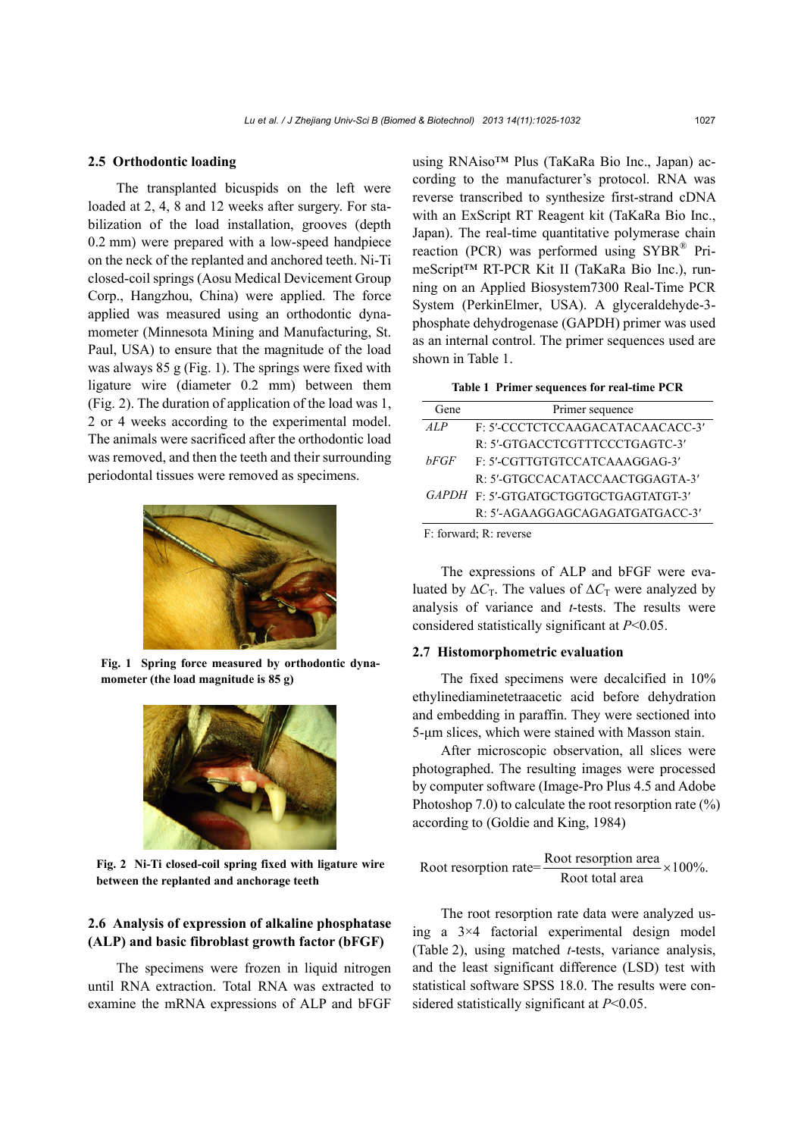#### **2.5 Orthodontic loading**

The transplanted bicuspids on the left were loaded at 2, 4, 8 and 12 weeks after surgery. For stabilization of the load installation, grooves (depth 0.2 mm) were prepared with a low-speed handpiece on the neck of the replanted and anchored teeth. Ni-Ti closed-coil springs (Aosu Medical Devicement Group Corp., Hangzhou, China) were applied. The force applied was measured using an orthodontic dynamometer (Minnesota Mining and Manufacturing, St. Paul, USA) to ensure that the magnitude of the load was always 85 g (Fig. 1). The springs were fixed with ligature wire (diameter 0.2 mm) between them (Fig. 2). The duration of application of the load was 1, 2 or 4 weeks according to the experimental model. The animals were sacrificed after the orthodontic load was removed, and then the teeth and their surrounding periodontal tissues were removed as specimens.



**Fig. 1 Spring force measured by orthodontic dynamometer (the load magnitude is 85 g)** 



**Fig. 2 Ni-Ti closed-coil spring fixed with ligature wire between the replanted and anchorage teeth** 

## **2.6 Analysis of expression of alkaline phosphatase (ALP) and basic fibroblast growth factor (bFGF)**

The specimens were frozen in liquid nitrogen until RNA extraction. Total RNA was extracted to examine the mRNA expressions of ALP and bFGF using RNAiso™ Plus (TaKaRa Bio Inc., Japan) according to the manufacturer's protocol. RNA was reverse transcribed to synthesize first-strand cDNA with an ExScript RT Reagent kit (TaKaRa Bio Inc., Japan). The real-time quantitative polymerase chain reaction (PCR) was performed using SYBR<sup>®</sup> PrimeScript™ RT-PCR Kit II (TaKaRa Bio Inc.), running on an Applied Biosystem7300 Real-Time PCR System (PerkinElmer, USA). A glyceraldehyde-3 phosphate dehydrogenase (GAPDH) primer was used as an internal control. The primer sequences used are shown in Table 1.

|  |  | Table 1 Primer sequences for real-time PCR |  |  |  |
|--|--|--------------------------------------------|--|--|--|
|--|--|--------------------------------------------|--|--|--|

| Gene | Primer sequence                       |  |  |
|------|---------------------------------------|--|--|
| AI.P | F: 5'-CCCTCTCCAAGACATACAACACC-3'      |  |  |
|      | R: 5'-GTGACCTCGTTTCCCTGAGTC-3'        |  |  |
| bFGF | F: 5'-CGTTGTGTCCATCAAAGGAG-3'         |  |  |
|      | R: 5'-GTGCCACATACCAACTGGAGTA-3'       |  |  |
|      | GAPDH F: 5'-GTGATGCTGGTGCTGAGTATGT-3' |  |  |
|      | R: 5'-AGAAGGAGCAGAGATGATGACC-3'       |  |  |

F: forward; R: reverse

The expressions of ALP and bFGF were evaluated by  $\Delta C_T$ . The values of  $\Delta C_T$  were analyzed by analysis of variance and *t*-tests. The results were considered statistically significant at *P*<0.05.

## **2.7 Histomorphometric evaluation**

The fixed specimens were decalcified in 10% ethylinediaminetetraacetic acid before dehydration and embedding in paraffin. They were sectioned into 5-μm slices, which were stained with Masson stain.

After microscopic observation, all slices were photographed. The resulting images were processed by computer software (Image-Pro Plus 4.5 and Adobe Photoshop 7.0) to calculate the root resorption rate  $(\%$ according to (Goldie and King, 1984)

Root resorption rate= $\frac{\text{Root resolution area}}{\text{Root total area}} \times 100\%$ .

The root resorption rate data were analyzed using a 3×4 factorial experimental design model (Table 2), using matched *t*-tests, variance analysis, and the least significant difference (LSD) test with statistical software SPSS 18.0. The results were considered statistically significant at *P*<0.05.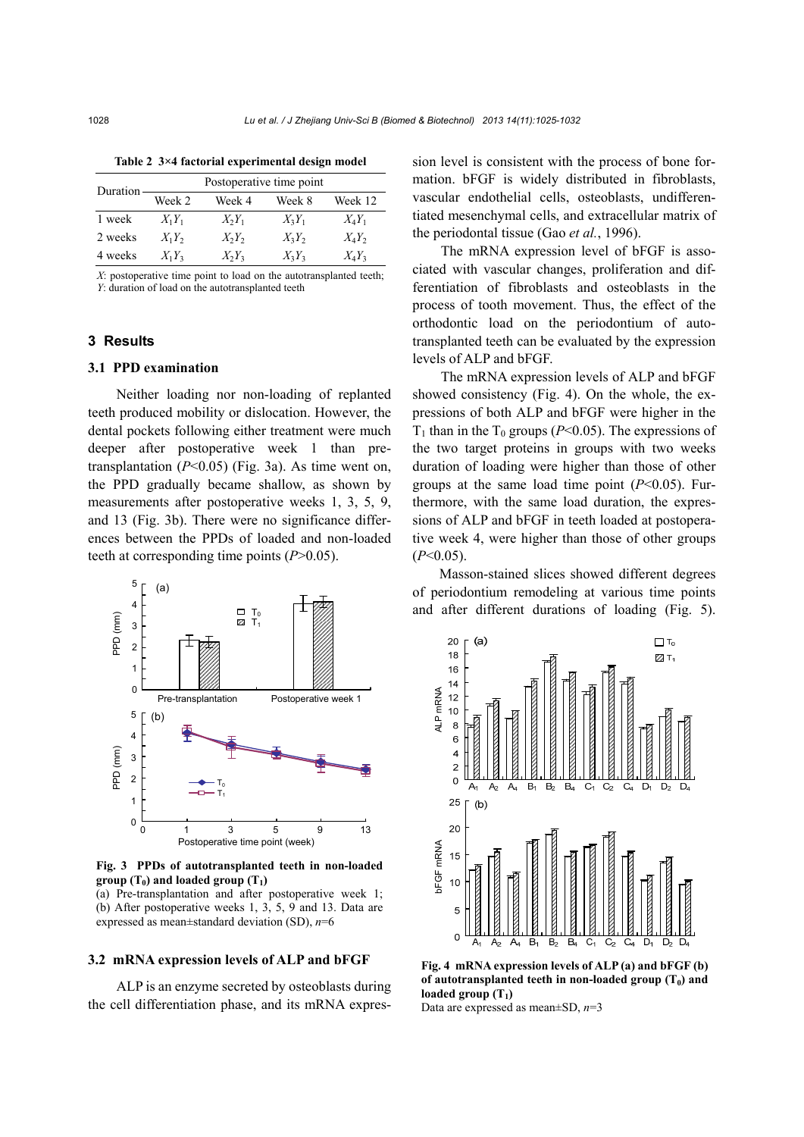| Duration |          | Postoperative time point |          |          |
|----------|----------|--------------------------|----------|----------|
|          | Week 2   | Week 4                   | Week 8   | Week 12  |
| 1 week   | $X_1Y_1$ | $X_2Y_1$                 | $X_3Y_1$ | $X_4Y_1$ |
| 2 weeks  | $X_1Y_2$ | $X_2Y_2$                 | $X_3Y_2$ | $X_4Y_2$ |
| 4 weeks  | $X_1Y_3$ | $X_2Y_3$                 | $X_3Y_3$ | $X_4Y_3$ |

**Table 2 3×4 factorial experimental design model** 

*X*: postoperative time point to load on the autotransplanted teeth; *Y*: duration of load on the autotransplanted teeth

## **3 Results**

### **3.1 PPD examination**

Neither loading nor non-loading of replanted teeth produced mobility or dislocation. However, the dental pockets following either treatment were much deeper after postoperative week 1 than pretransplantation  $(P<0.05)$  (Fig. 3a). As time went on, the PPD gradually became shallow, as shown by measurements after postoperative weeks 1, 3, 5, 9, and 13 (Fig. 3b). There were no significance differences between the PPDs of loaded and non-loaded teeth at corresponding time points (*P*>0.05).



**Fig. 3 PPDs of autotransplanted teeth in non-loaded group**  $(T_0)$  and loaded group  $(T_1)$ 

#### **3.2 mRNA expression levels of ALP and bFGF**

ALP is an enzyme secreted by osteoblasts during the cell differentiation phase, and its mRNA expression level is consistent with the process of bone formation. bFGF is widely distributed in fibroblasts, vascular endothelial cells, osteoblasts, undifferentiated mesenchymal cells, and extracellular matrix of the periodontal tissue (Gao *et al.*, 1996).

The mRNA expression level of bFGF is associated with vascular changes, proliferation and differentiation of fibroblasts and osteoblasts in the process of tooth movement. Thus, the effect of the orthodontic load on the periodontium of autotransplanted teeth can be evaluated by the expression levels of ALP and bFGF.

The mRNA expression levels of ALP and bFGF showed consistency (Fig. 4). On the whole, the expressions of both ALP and bFGF were higher in the  $T_1$  than in the  $T_0$  groups (*P*<0.05). The expressions of the two target proteins in groups with two weeks duration of loading were higher than those of other groups at the same load time point  $(P<0.05)$ . Furthermore, with the same load duration, the expressions of ALP and bFGF in teeth loaded at postoperative week 4, were higher than those of other groups  $(P<0.05)$ .

Masson-stained slices showed different degrees of periodontium remodeling at various time points and after different durations of loading (Fig. 5).



**Fig. 4 mRNA expression levels of ALP (a) and bFGF (b)**  of autotransplanted teeth in non-loaded group  $(T_0)$  and loaded group  $(T_1)$ 

<sup>(</sup>a) Pre-transplantation and after postoperative week 1; (b) After postoperative weeks 1, 3, 5, 9 and 13. Data are expressed as mean±standard deviation (SD), *n*=6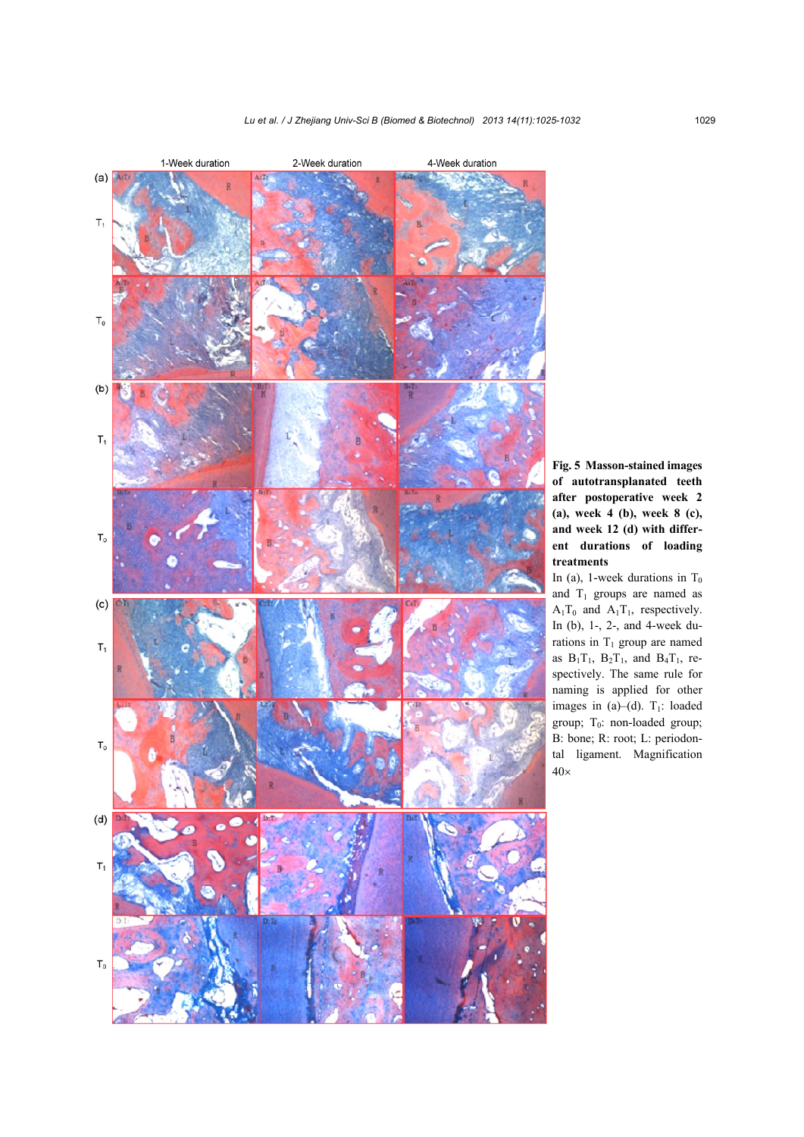

**Fig. 5 Masson-stained images of autotransplanated teeth after postoperative week 2 (a), week 4 (b), week 8 (c), and week 12 (d) with different durations of loading treatments** 

In (a), 1-week durations in  $T_0$ and  $T_1$  groups are named as  $A_1T_0$  and  $A_1T_1$ , respectively. In (b), 1-, 2-, and 4-week durations in  $T_1$  group are named as  $B_1T_1$ ,  $B_2T_1$ , and  $B_4T_1$ , respectively. The same rule for naming is applied for other images in  $(a)$ – $(d)$ . T<sub>1</sub>: loaded group;  $T_0$ : non-loaded group; B: bone; R: root; L: periodontal ligament. Magnification  $40\times$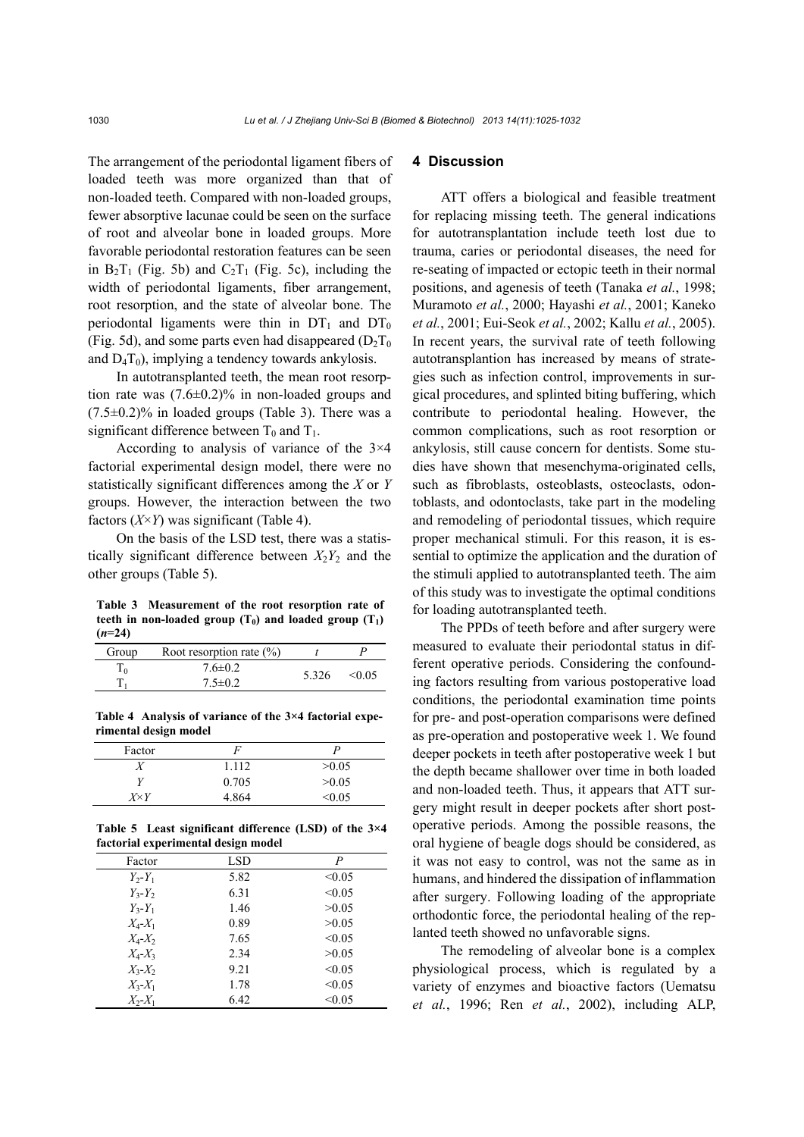The arrangement of the periodontal ligament fibers of loaded teeth was more organized than that of non-loaded teeth. Compared with non-loaded groups, fewer absorptive lacunae could be seen on the surface of root and alveolar bone in loaded groups. More favorable periodontal restoration features can be seen in  $B_2T_1$  (Fig. 5b) and  $C_2T_1$  (Fig. 5c), including the width of periodontal ligaments, fiber arrangement, root resorption, and the state of alveolar bone. The periodontal ligaments were thin in  $DT_1$  and  $DT_0$ (Fig. 5d), and some parts even had disappeared  $(D_2T_0)$ and  $D_4T_0$ ), implying a tendency towards ankylosis.

In autotransplanted teeth, the mean root resorption rate was  $(7.6\pm0.2)\%$  in non-loaded groups and  $(7.5\pm0.2)\%$  in loaded groups (Table 3). There was a significant difference between  $T_0$  and  $T_1$ .

According to analysis of variance of the 3×4 factorial experimental design model, there were no statistically significant differences among the *X* or *Y* groups. However, the interaction between the two factors (*X*×*Y*) was significant (Table 4).

On the basis of the LSD test, there was a statistically significant difference between  $X_2Y_2$  and the other groups (Table 5).

**Table 3 Measurement of the root resorption rate of**  teeth in non-loaded group  $(T_0)$  and loaded group  $(T_1)$  $(n=24)$ 

| Group | Root resorption rate $(\% )$ |       |        |
|-------|------------------------------|-------|--------|
|       | $7.6 \pm 0.2$                | 5.326 | < 0.05 |
|       | $7.5 \pm 0.2$                |       |        |

**Table 4 Analysis of variance of the 3×4 factorial experimental design model** 

| Factor       | F     |        |
|--------------|-------|--------|
| Χ            | 1.112 | >0.05  |
| V            | 0.705 | >0.05  |
| $X \times Y$ | 4.864 | < 0.05 |

**Table 5 Least significant difference (LSD) of the 3×4 factorial experimental design model** 

|               | $\tilde{}$ |        |
|---------------|------------|--------|
| Factor        | LSD        | P      |
| $Y_2 - Y_1$   | 5.82       | < 0.05 |
| $Y_3 - Y_2$   | 6.31       | < 0.05 |
| $Y_3 - Y_1$   | 1.46       | >0.05  |
| $X_4$ - $X_1$ | 0.89       | >0.05  |
| $X_4$ - $X_2$ | 7.65       | < 0.05 |
| $X_4$ - $X_3$ | 2.34       | >0.05  |
| $X_3$ - $X_2$ | 9.21       | < 0.05 |
| $X_3$ - $X_1$ | 1.78       | < 0.05 |
| $X_2$ - $X_1$ | 6.42       | < 0.05 |

### **4 Discussion**

ATT offers a biological and feasible treatment for replacing missing teeth. The general indications for autotransplantation include teeth lost due to trauma, caries or periodontal diseases, the need for re-seating of impacted or ectopic teeth in their normal positions, and agenesis of teeth (Tanaka *et al.*, 1998; Muramoto *et al.*, 2000; Hayashi *et al.*, 2001; Kaneko *et al.*, 2001; Eui-Seok *et al.*, 2002; Kallu *et al.*, 2005). In recent years, the survival rate of teeth following autotransplantion has increased by means of strategies such as infection control, improvements in surgical procedures, and splinted biting buffering, which contribute to periodontal healing. However, the common complications, such as root resorption or ankylosis, still cause concern for dentists. Some studies have shown that mesenchyma-originated cells, such as fibroblasts, osteoblasts, osteoclasts, odontoblasts, and odontoclasts, take part in the modeling and remodeling of periodontal tissues, which require proper mechanical stimuli. For this reason, it is essential to optimize the application and the duration of the stimuli applied to autotransplanted teeth. The aim of this study was to investigate the optimal conditions for loading autotransplanted teeth.

The PPDs of teeth before and after surgery were measured to evaluate their periodontal status in different operative periods. Considering the confounding factors resulting from various postoperative load conditions, the periodontal examination time points for pre- and post-operation comparisons were defined as pre-operation and postoperative week 1. We found deeper pockets in teeth after postoperative week 1 but the depth became shallower over time in both loaded and non-loaded teeth. Thus, it appears that ATT surgery might result in deeper pockets after short postoperative periods. Among the possible reasons, the oral hygiene of beagle dogs should be considered, as it was not easy to control, was not the same as in humans, and hindered the dissipation of inflammation after surgery. Following loading of the appropriate orthodontic force, the periodontal healing of the replanted teeth showed no unfavorable signs.

The remodeling of alveolar bone is a complex physiological process, which is regulated by a variety of enzymes and bioactive factors (Uematsu *et al.*, 1996; Ren *et al.*, 2002), including ALP,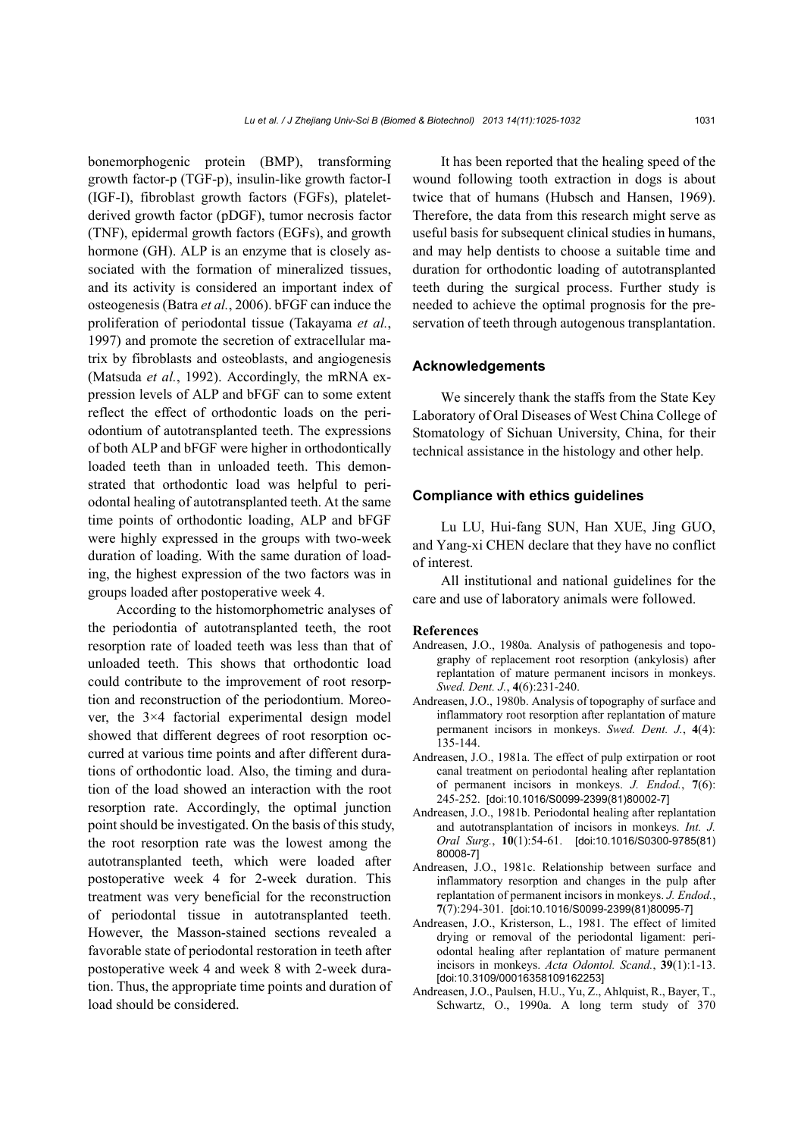bonemorphogenic protein (BMP), transforming growth factor-p (TGF-p), insulin-like growth factor-I (IGF-I), fibroblast growth factors (FGFs), plateletderived growth factor (pDGF), tumor necrosis factor (TNF), epidermal growth factors (EGFs), and growth hormone (GH). ALP is an enzyme that is closely associated with the formation of mineralized tissues, and its activity is considered an important index of osteogenesis (Batra *et al.*, 2006). bFGF can induce the proliferation of periodontal tissue (Takayama *et al.*, 1997) and promote the secretion of extracellular matrix by fibroblasts and osteoblasts, and angiogenesis (Matsuda *et al.*, 1992). Accordingly, the mRNA expression levels of ALP and bFGF can to some extent reflect the effect of orthodontic loads on the periodontium of autotransplanted teeth. The expressions of both ALP and bFGF were higher in orthodontically loaded teeth than in unloaded teeth. This demonstrated that orthodontic load was helpful to periodontal healing of autotransplanted teeth. At the same time points of orthodontic loading, ALP and bFGF were highly expressed in the groups with two-week duration of loading. With the same duration of loading, the highest expression of the two factors was in groups loaded after postoperative week 4.

According to the histomorphometric analyses of the periodontia of autotransplanted teeth, the root resorption rate of loaded teeth was less than that of unloaded teeth. This shows that orthodontic load could contribute to the improvement of root resorption and reconstruction of the periodontium. Moreover, the 3×4 factorial experimental design model showed that different degrees of root resorption occurred at various time points and after different durations of orthodontic load. Also, the timing and duration of the load showed an interaction with the root resorption rate. Accordingly, the optimal junction point should be investigated. On the basis of this study, the root resorption rate was the lowest among the autotransplanted teeth, which were loaded after postoperative week 4 for 2-week duration. This treatment was very beneficial for the reconstruction of periodontal tissue in autotransplanted teeth. However, the Masson-stained sections revealed a favorable state of periodontal restoration in teeth after postoperative week 4 and week 8 with 2-week duration. Thus, the appropriate time points and duration of load should be considered.

It has been reported that the healing speed of the wound following tooth extraction in dogs is about twice that of humans (Hubsch and Hansen, 1969). Therefore, the data from this research might serve as useful basis for subsequent clinical studies in humans, and may help dentists to choose a suitable time and duration for orthodontic loading of autotransplanted teeth during the surgical process. Further study is needed to achieve the optimal prognosis for the preservation of teeth through autogenous transplantation.

# **Acknowledgements**

We sincerely thank the staffs from the State Key Laboratory of Oral Diseases of West China College of Stomatology of Sichuan University, China, for their technical assistance in the histology and other help.

# **Compliance with ethics guidelines**

Lu LU, Hui-fang SUN, Han XUE, Jing GUO, and Yang-xi CHEN declare that they have no conflict of interest.

All institutional and national guidelines for the care and use of laboratory animals were followed.

#### **References**

- Andreasen, J.O., 1980a. Analysis of pathogenesis and topography of replacement root resorption (ankylosis) after replantation of mature permanent incisors in monkeys. *Swed. Dent. J.*, **4**(6):231-240.
- Andreasen, J.O., 1980b. Analysis of topography of surface and inflammatory root resorption after replantation of mature permanent incisors in monkeys. *Swed. Dent. J.*, **4**(4): 135-144.
- Andreasen, J.O., 1981a. The effect of pulp extirpation or root canal treatment on periodontal healing after replantation of permanent incisors in monkeys. *J. Endod.*, **7**(6): 245-252. [doi:10.1016/S0099-2399(81)80002-7]
- Andreasen, J.O., 1981b. Periodontal healing after replantation and autotransplantation of incisors in monkeys. *Int. J. Oral Surg.*, **10**(1):54-61. [doi:10.1016/S0300-9785(81) 80008-7]
- Andreasen, J.O., 1981c. Relationship between surface and inflammatory resorption and changes in the pulp after replantation of permanent incisors in monkeys. *J. Endod.*, **7**(7):294-301. [doi:10.1016/S0099-2399(81)80095-7]
- Andreasen, J.O., Kristerson, L., 1981. The effect of limited drying or removal of the periodontal ligament: periodontal healing after replantation of mature permanent incisors in monkeys. *Acta Odontol. Scand.*, **39**(1):1-13. [doi:10.3109/00016358109162253]
- Andreasen, J.O., Paulsen, H.U., Yu, Z., Ahlquist, R., Bayer, T., Schwartz, O., 1990a. A long term study of 370